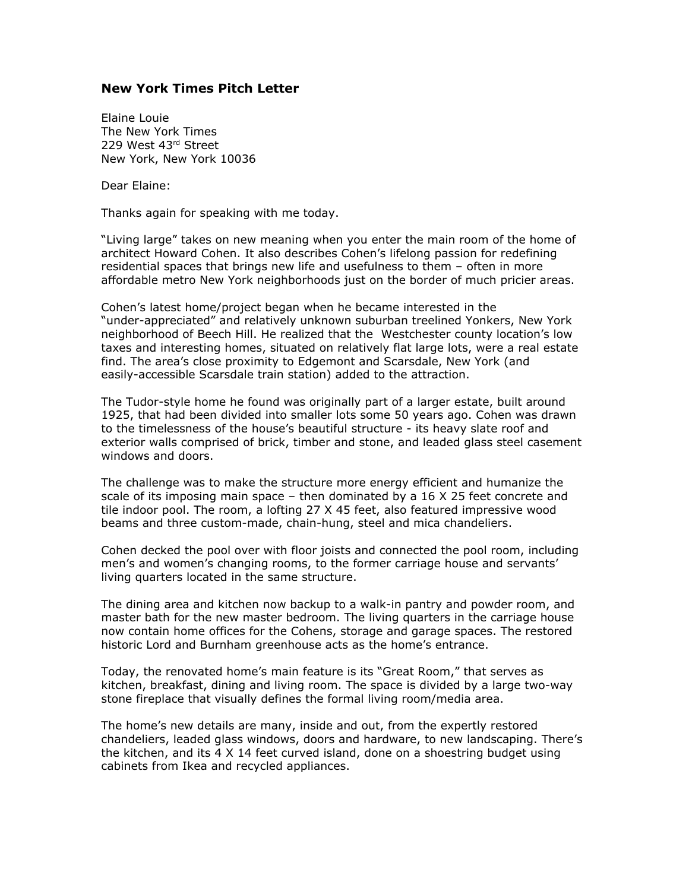## **New York Times Pitch Letter**

Elaine Louie The New York Times 229 West 43rd Street New York, New York 10036

Dear Elaine:

Thanks again for speaking with me today.

"Living large" takes on new meaning when you enter the main room of the home of architect Howard Cohen. It also describes Cohen's lifelong passion for redefining residential spaces that brings new life and usefulness to them – often in more affordable metro New York neighborhoods just on the border of much pricier areas.

Cohen's latest home/project began when he became interested in the "under-appreciated" and relatively unknown suburban treelined Yonkers, New York neighborhood of Beech Hill. He realized that the Westchester county location's low taxes and interesting homes, situated on relatively flat large lots, were a real estate find. The area's close proximity to Edgemont and Scarsdale, New York (and easily-accessible Scarsdale train station) added to the attraction.

The Tudor-style home he found was originally part of a larger estate, built around 1925, that had been divided into smaller lots some 50 years ago. Cohen was drawn to the timelessness of the house's beautiful structure - its heavy slate roof and exterior walls comprised of brick, timber and stone, and leaded glass steel casement windows and doors.

The challenge was to make the structure more energy efficient and humanize the scale of its imposing main space – then dominated by a 16 X 25 feet concrete and tile indoor pool. The room, a lofting 27 X 45 feet, also featured impressive wood beams and three custom-made, chain-hung, steel and mica chandeliers.

Cohen decked the pool over with floor joists and connected the pool room, including men's and women's changing rooms, to the former carriage house and servants' living quarters located in the same structure.

The dining area and kitchen now backup to a walk-in pantry and powder room, and master bath for the new master bedroom. The living quarters in the carriage house now contain home offices for the Cohens, storage and garage spaces. The restored historic Lord and Burnham greenhouse acts as the home's entrance.

Today, the renovated home's main feature is its "Great Room," that serves as kitchen, breakfast, dining and living room. The space is divided by a large two-way stone fireplace that visually defines the formal living room/media area.

The home's new details are many, inside and out, from the expertly restored chandeliers, leaded glass windows, doors and hardware, to new landscaping. There's the kitchen, and its 4 X 14 feet curved island, done on a shoestring budget using cabinets from Ikea and recycled appliances.